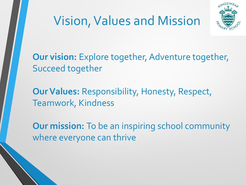



**Our vision:** Explore together, Adventure together, Succeed together

**Our Values:** Responsibility, Honesty, Respect, Teamwork, Kindness

**Our mission:** To be an inspiring school community where everyone can thrive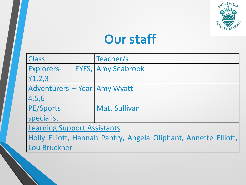

### **Our staff**

| Class                                                           | Teacher/s                 |  |
|-----------------------------------------------------------------|---------------------------|--|
| <b>Explorers-</b>                                               | <b>EYFS, Amy Seabrook</b> |  |
| Y1,2,3                                                          |                           |  |
| Adventurers - Year Amy Wyatt                                    |                           |  |
| 4,5,6                                                           |                           |  |
| PE/Sports                                                       | <b>Matt Sullivan</b>      |  |
| specialist                                                      |                           |  |
| <b>Learning Support Assistants</b>                              |                           |  |
| Holly Elliott, Hannah Pantry, Angela Oliphant, Annette Elliott, |                           |  |
| Lou Bruckner                                                    |                           |  |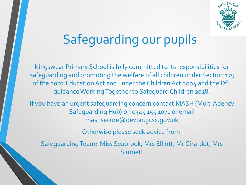

# Safeguarding our pupils

Kingswear Primary School is fully committed to its responsibilities for safeguarding and promoting the welfare of all children under Section 175 of the 2002 Education Act and under the Children Act 2004 and the DfE guidance Working Together to Safeguard Children 2018.

If you have an urgent safeguarding concern contact MASH (Multi Agency Safeguarding Hub) on 0345 155 1071 or email mashsecure@devon.gcsx.gov.uk

Otherwise please seek advice from:

Safeguarding Team: Miss Seabrook, Mrs Elliott, Mr Girardot, Mrs Simnett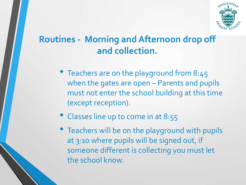

#### **Routines - Morning and Afternoon drop off and collection.**

- Teachers are on the playground from 8:45 when the gates are open – Parents and pupils must not enter the school building at this time (except reception).
- Classes line up to come in at 8:55
- Teachers will be on the playground with pupils at 3:10 where pupils will be signed out, if someone different is collecting you must let the school know.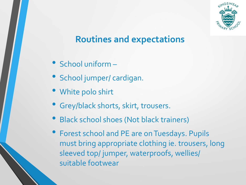

#### **Routines and expectations**

- School uniform –
- School jumper/ cardigan.
- White polo shirt
- Grey/black shorts, skirt, trousers.
- Black school shoes (Not black trainers)
- Forest school and PE are on Tuesdays. Pupils must bring appropriate clothing ie. trousers, long sleeved top/ jumper, waterproofs, wellies/ suitable footwear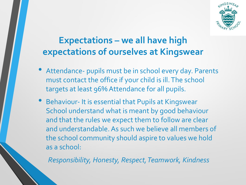

#### **Expectations – we all have high expectations of ourselves at Kingswear**

- Attendance- pupils must be in school every day. Parents must contact the office if your child is ill. The school targets at least 96% Attendance for all pupils.
- Behaviour- It is essential that Pupils at Kingswear School understand what is meant by good behaviour and that the rules we expect them to follow are clear and understandable. As such we believe all members of the school community should aspire to values we hold as a school:

*Responsibility, Honesty, Respect, Teamwork, Kindness*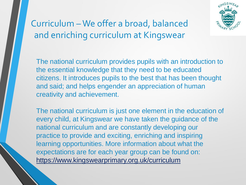

Curriculum – We offer a broad, balanced and enriching curriculum at Kingswear

The national curriculum provides pupils with an introduction to the essential knowledge that they need to be educated citizens. It introduces pupils to the best that has been thought and said; and helps engender an appreciation of human creativity and achievement.

The national curriculum is just one element in the education of every child, at Kingswear we have taken the guidance of the national curriculum and are constantly developing our practice to provide and exciting, enriching and inspiring learning opportunities. More information about what the expectations are for each year group can be found on: https://www.kingswearprimary.org.uk/curriculum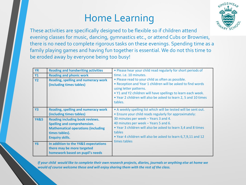#### Home Learning



These activities are specifically designed to be flexible so if children attend evening classes for music, dancing, gymnastics etc., or attend Cubs or Brownies, there is no need to complete rigorous tasks on these evenings. Spending time as a family playing games and having fun together is essential. We do not this time to be eroded away by everyone being too busy!

| <b>YR</b><br><b>Y1</b><br><b>Y2</b> | <b>Reading and handwriting activities</b><br><b>Reading and phonic work</b><br><b>Reading, spelling and numeracy work</b><br>(including times tables)                 | • Please hear your child read regularly for short periods of<br>time. i.e. 10 minutes.<br>• Please read to your child as often as possible.<br>• Reception and Year 1 children will be asked to find words<br>using letter patterns.<br>. Y1 and Y2 children will have spellings to learn each week.<br>. Year 2 children will also be asked to learn 2, 5 and 10 times |
|-------------------------------------|-----------------------------------------------------------------------------------------------------------------------------------------------------------------------|-------------------------------------------------------------------------------------------------------------------------------------------------------------------------------------------------------------------------------------------------------------------------------------------------------------------------------------------------------------------------|
|                                     |                                                                                                                                                                       | tables.                                                                                                                                                                                                                                                                                                                                                                 |
| <b>Y3</b>                           | <b>Reading, spelling and numeracy work</b><br>(including times tables)                                                                                                | • A weekly spelling list which will be tested will be sent out.<br>• Ensure your child reads regularly for approximately:                                                                                                                                                                                                                                               |
| <b>Y4&amp;5</b>                     | <b>Reading including book reviews.</b><br><b>Spelling and comprehension.</b><br><b>Mathematical operations (including</b><br>times tables).<br><b>Enquiry skills.</b> | 30 minutes per week - Years 3 and 4.<br>40 minutes per week - Years 5 and 6.<br>. Year 3 children will also be asked to learn 3,4 and 8 times<br>tables<br>. Year 4 children will also be asked to learn 6,7,9,11 and 12<br>times tables                                                                                                                                |
| <b>Y6</b>                           | In addition to the Y4&5 expectations<br>there may be more targeted<br>homework based on pupil's needs                                                                 |                                                                                                                                                                                                                                                                                                                                                                         |

*If your child would like to complete their own research projects, diaries, journals or anything else at home we would of course welcome these and will enjoy sharing them with the rest of the class.*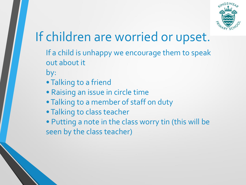

## If children are worried or upset.

- If a child is unhappy we encourage them to speak out about it
- by:
- Talking to a friend
- Raising an issue in circle time
- Talking to a member of staff on duty
- Talking to class teacher

• Putting a note in the class worry tin (this will be seen by the class teacher)